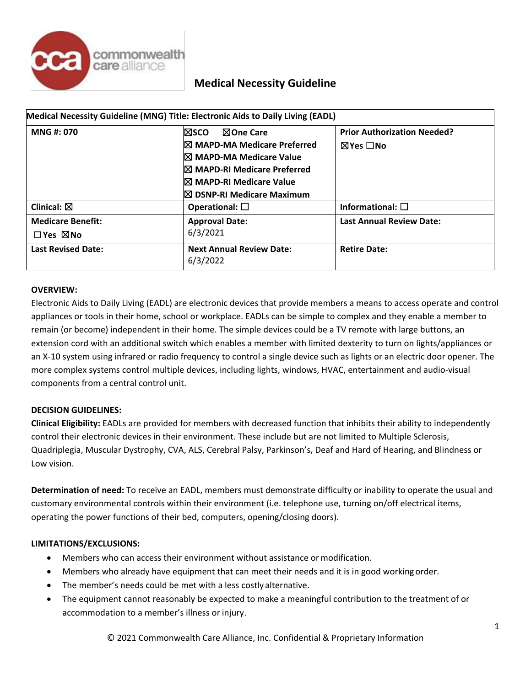

| Medical Necessity Guideline (MNG) Title: Electronic Aids to Daily Living (EADL) |                                                                                                                                                                                                             |                                                                 |
|---------------------------------------------------------------------------------|-------------------------------------------------------------------------------------------------------------------------------------------------------------------------------------------------------------|-----------------------------------------------------------------|
| MNG #: 070                                                                      | l⊠sco<br><b>NOne Care</b><br><b>IX MAPD-MA Medicare Preferred</b><br>I⊠ MAPD-MA Medicare Value<br><b>IX MAPD-RI Medicare Preferred</b><br>I⊠ MAPD-RI Medicare Value<br>$\boxtimes$ DSNP-RI Medicare Maximum | <b>Prior Authorization Needed?</b><br>$\boxtimes$ Yes $\Box$ No |
| Clinical: $\boxtimes$                                                           | Operational: $\square$                                                                                                                                                                                      | Informational: $\square$                                        |
| <b>Medicare Benefit:</b><br>$\Box$ Yes $\boxtimes$ No                           | <b>Approval Date:</b><br>6/3/2021                                                                                                                                                                           | <b>Last Annual Review Date:</b>                                 |
| <b>Last Revised Date:</b>                                                       | <b>Next Annual Review Date:</b><br>6/3/2022                                                                                                                                                                 | <b>Retire Date:</b>                                             |

### **OVERVIEW:**

Electronic Aids to Daily Living (EADL) are electronic devices that provide members a means to access operate and control appliances or tools in their home, school or workplace. EADLs can be simple to complex and they enable a member to remain (or become) independent in their home. The simple devices could be a TV remote with large buttons, an extension cord with an additional switch which enables a member with limited dexterity to turn on lights/appliances or an X-10 system using infrared or radio frequency to control a single device such as lights or an electric door opener. The more complex systems control multiple devices, including lights, windows, HVAC, entertainment and audio-visual components from a central control unit.

### **DECISION GUIDELINES:**

**Clinical Eligibility:** EADLs are provided for members with decreased function that inhibits their ability to independently control their electronic devices in their environment. These include but are not limited to Multiple Sclerosis, Quadriplegia, Muscular Dystrophy, CVA, ALS, Cerebral Palsy, Parkinson's, Deaf and Hard of Hearing, and Blindness or Low vision.

**Determination of need:** To receive an EADL, members must demonstrate difficulty or inability to operate the usual and customary environmental controls within their environment (i.e. telephone use, turning on/off electrical items, operating the power functions of their bed, computers, opening/closing doors).

#### **LIMITATIONS/EXCLUSIONS:**

- Members who can access their environment without assistance or modification.
- Members who already have equipment that can meet their needs and it is in good working order.
- The member's needs could be met with a less costly alternative.
- The equipment cannot reasonably be expected to make a meaningful contribution to the treatment of or accommodation to a member's illness or injury.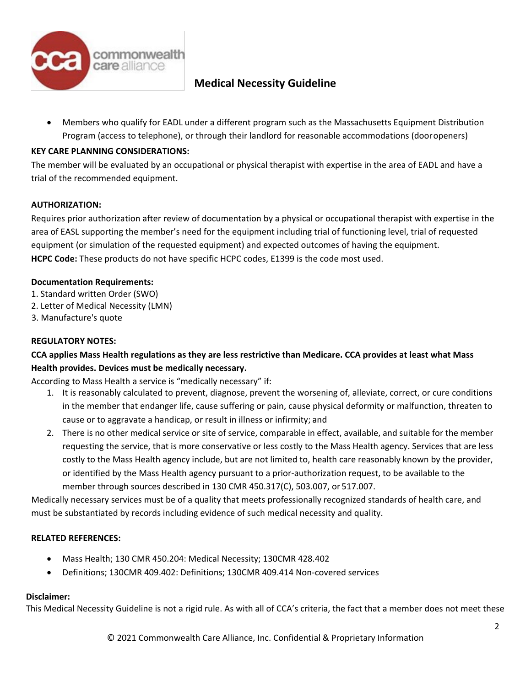

• Members who qualify for EADL under a different program such as the Massachusetts Equipment Distribution Program (access to telephone), or through their landlord for reasonable accommodations (dooropeners)

### **KEY CARE PLANNING CONSIDERATIONS:**

The member will be evaluated by an occupational or physical therapist with expertise in the area of EADL and have a trial of the recommended equipment.

### **AUTHORIZATION:**

Requires prior authorization after review of documentation by a physical or occupational therapist with expertise in the area of EASL supporting the member's need for the equipment including trial of functioning level, trial of requested equipment (or simulation of the requested equipment) and expected outcomes of having the equipment. **HCPC Code:** These products do not have specific HCPC codes, E1399 is the code most used.

### **Documentation Requirements:**

- 1. Standard written Order (SWO)
- 2. Letter of Medical Necessity (LMN)
- 3. Manufacture's quote

### **REGULATORY NOTES:**

### **CCA applies Mass Health regulations as they are less restrictive than Medicare. CCA provides at least what Mass Health provides. Devices must be medically necessary.**

According to Mass Health a service is "medically necessary" if:

- 1. It is reasonably calculated to prevent, diagnose, prevent the worsening of, alleviate, correct, or cure conditions in the member that endanger life, cause suffering or pain, cause physical deformity or malfunction, threaten to cause or to aggravate a handicap, or result in illness or infirmity; and
- 2. There is no other medical service or site of service, comparable in effect, available, and suitable for the member requesting the service, that is more conservative or less costly to the Mass Health agency. Services that are less costly to the Mass Health agency include, but are not limited to, health care reasonably known by the provider, or identified by the Mass Health agency pursuant to a prior-authorization request, to be available to the member through sources described in 130 CMR 450.317(C), 503.007, or 517.007.

Medically necessary services must be of a quality that meets professionally recognized standards of health care, and must be substantiated by records including evidence of such medical necessity and quality.

### **RELATED REFERENCES:**

- Mass Health; 130 CMR 450.204: Medical Necessity; 130CMR 428.402
- Definitions; 130CMR 409.402: Definitions; 130CMR 409.414 Non-covered services

### **Disclaimer:**

This Medical Necessity Guideline is not a rigid rule. As with all of CCA's criteria, the fact that a member does not meet these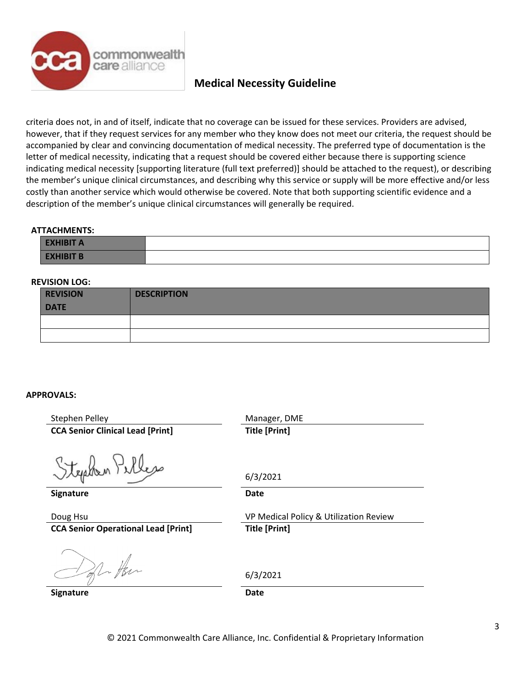

criteria does not, in and of itself, indicate that no coverage can be issued for these services. Providers are advised, however, that if they request services for any member who they know does not meet our criteria, the request should be accompanied by clear and convincing documentation of medical necessity. The preferred type of documentation is the letter of medical necessity, indicating that a request should be covered either because there is supporting science indicating medical necessity [supporting literature (full text preferred)] should be attached to the request), or describing the member's unique clinical circumstances, and describing why this service or supply will be more effective and/or less costly than another service which would otherwise be covered. Note that both supporting scientific evidence and a description of the member's unique clinical circumstances will generally be required.

#### **ATTACHMENTS:**

| <b>EXHIBIT A</b>                               |  |
|------------------------------------------------|--|
| <b>IDIT D</b><br><b>TAL.</b><br><u>_______</u> |  |

### **REVISION LOG:**

| <b>REVISION</b><br><b>DATE</b> | <b>DESCRIPTION</b> |
|--------------------------------|--------------------|
|                                |                    |
|                                |                    |

### **APPROVALS:**

| Stephen Pelley                             | Manager, DME                           |
|--------------------------------------------|----------------------------------------|
| <b>CCA Senior Clinical Lead [Print]</b>    | <b>Title [Print]</b>                   |
|                                            |                                        |
| Stephen Pelles                             |                                        |
|                                            | 6/3/2021                               |
| Signature                                  | Date                                   |
|                                            |                                        |
| Doug Hsu                                   | VP Medical Policy & Utilization Review |
| <b>CCA Senior Operational Lead [Print]</b> | <b>Title [Print]</b>                   |
|                                            |                                        |
|                                            |                                        |
| 41                                         |                                        |
|                                            | 6/3/2021                               |
| <b>Signature</b>                           | <b>Date</b>                            |